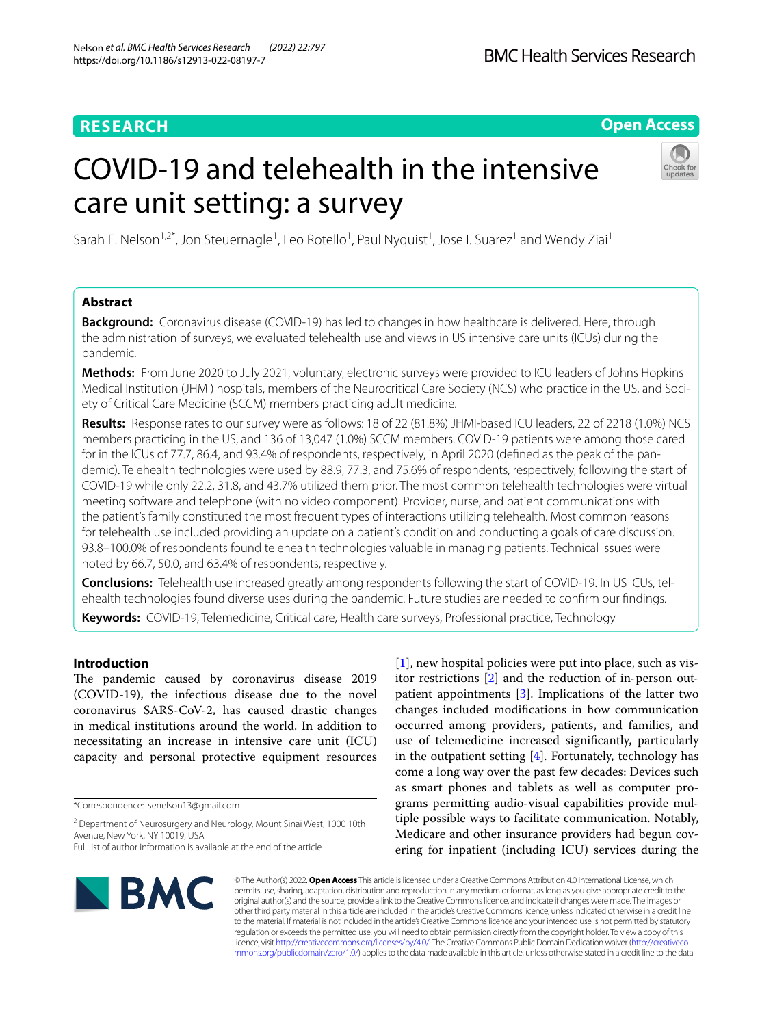# **RESEARCH**

# **Open Access**

# COVID-19 and telehealth in the intensive care unit setting: a survey



Sarah E. Nelson<sup>1,2\*</sup>, Jon Steuernagle<sup>1</sup>, Leo Rotello<sup>1</sup>, Paul Nyquist<sup>1</sup>, Jose I. Suarez<sup>1</sup> and Wendy Ziai<sup>1</sup>

# **Abstract**

**Background:** Coronavirus disease (COVID-19) has led to changes in how healthcare is delivered. Here, through the administration of surveys, we evaluated telehealth use and views in US intensive care units (ICUs) during the pandemic.

**Methods:** From June 2020 to July 2021, voluntary, electronic surveys were provided to ICU leaders of Johns Hopkins Medical Institution (JHMI) hospitals, members of the Neurocritical Care Society (NCS) who practice in the US, and Society of Critical Care Medicine (SCCM) members practicing adult medicine.

**Results:** Response rates to our survey were as follows: 18 of 22 (81.8%) JHMI-based ICU leaders, 22 of 2218 (1.0%) NCS members practicing in the US, and 136 of 13,047 (1.0%) SCCM members. COVID-19 patients were among those cared for in the ICUs of 77.7, 86.4, and 93.4% of respondents, respectively, in April 2020 (defned as the peak of the pandemic). Telehealth technologies were used by 88.9, 77.3, and 75.6% of respondents, respectively, following the start of COVID-19 while only 22.2, 31.8, and 43.7% utilized them prior. The most common telehealth technologies were virtual meeting software and telephone (with no video component). Provider, nurse, and patient communications with the patient's family constituted the most frequent types of interactions utilizing telehealth. Most common reasons for telehealth use included providing an update on a patient's condition and conducting a goals of care discussion. 93.8–100.0% of respondents found telehealth technologies valuable in managing patients. Technical issues were noted by 66.7, 50.0, and 63.4% of respondents, respectively.

**Conclusions:** Telehealth use increased greatly among respondents following the start of COVID-19. In US ICUs, telehealth technologies found diverse uses during the pandemic. Future studies are needed to confrm our fndings.

**Keywords:** COVID-19, Telemedicine, Critical care, Health care surveys, Professional practice, Technology

# **Introduction**

The pandemic caused by coronavirus disease 2019 (COVID-19), the infectious disease due to the novel coronavirus SARS-CoV-2, has caused drastic changes in medical institutions around the world. In addition to necessitating an increase in intensive care unit (ICU) capacity and personal protective equipment resources

\*Correspondence: senelson13@gmail.com

[[1\]](#page-5-0), new hospital policies were put into place, such as visitor restrictions [\[2](#page-5-1)] and the reduction of in-person outpatient appointments [[3\]](#page-5-2). Implications of the latter two changes included modifcations in how communication occurred among providers, patients, and families, and use of telemedicine increased signifcantly, particularly in the outpatient setting [\[4](#page-5-3)]. Fortunately, technology has come a long way over the past few decades: Devices such as smart phones and tablets as well as computer programs permitting audio-visual capabilities provide multiple possible ways to facilitate communication. Notably, Medicare and other insurance providers had begun covering for inpatient (including ICU) services during the



© The Author(s) 2022. **Open Access** This article is licensed under a Creative Commons Attribution 4.0 International License, which permits use, sharing, adaptation, distribution and reproduction in any medium or format, as long as you give appropriate credit to the original author(s) and the source, provide a link to the Creative Commons licence, and indicate if changes were made. The images or other third party material in this article are included in the article's Creative Commons licence, unless indicated otherwise in a credit line to the material. If material is not included in the article's Creative Commons licence and your intended use is not permitted by statutory regulation or exceeds the permitted use, you will need to obtain permission directly from the copyright holder. To view a copy of this licence, visit [http://creativecommons.org/licenses/by/4.0/.](http://creativecommons.org/licenses/by/4.0/) The Creative Commons Public Domain Dedication waiver ([http://creativeco](http://creativecommons.org/publicdomain/zero/1.0/) [mmons.org/publicdomain/zero/1.0/](http://creativecommons.org/publicdomain/zero/1.0/)) applies to the data made available in this article, unless otherwise stated in a credit line to the data.

<sup>&</sup>lt;sup>2</sup> Department of Neurosurgery and Neurology, Mount Sinai West, 1000 10th Avenue, New York, NY 10019, USA

Full list of author information is available at the end of the article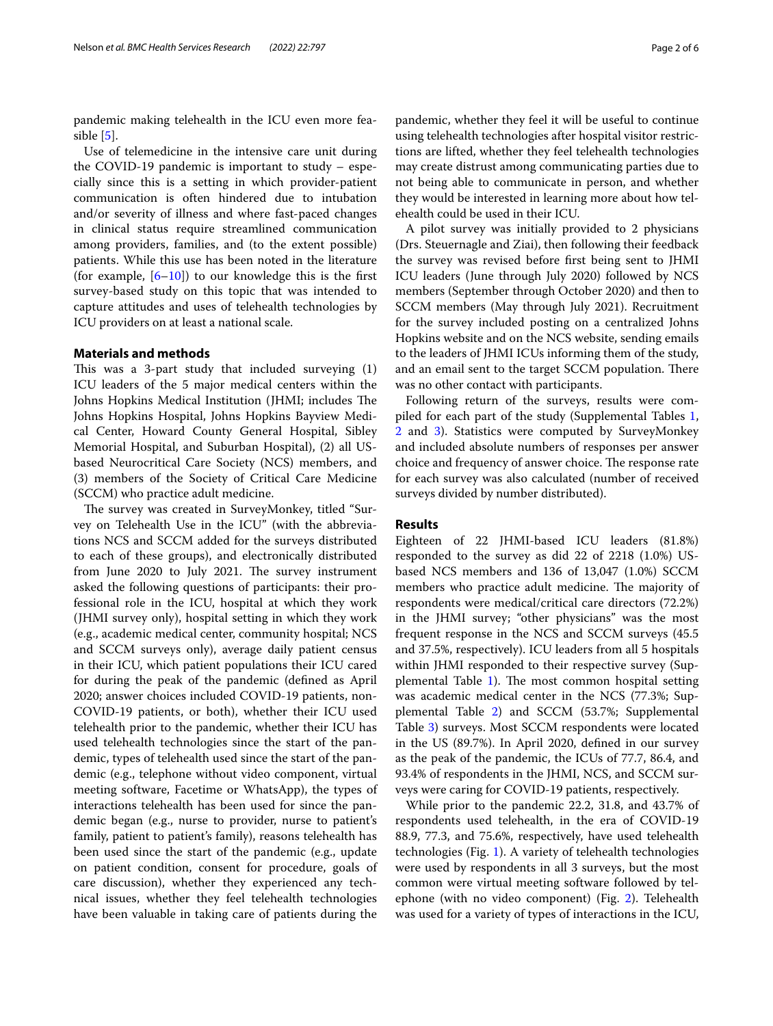pandemic making telehealth in the ICU even more feasible [[5\]](#page-5-4).

Use of telemedicine in the intensive care unit during the COVID-19 pandemic is important to study – especially since this is a setting in which provider-patient communication is often hindered due to intubation and/or severity of illness and where fast-paced changes in clinical status require streamlined communication among providers, families, and (to the extent possible) patients. While this use has been noted in the literature (for example,  $[6-10]$  $[6-10]$ ) to our knowledge this is the first survey-based study on this topic that was intended to capture attitudes and uses of telehealth technologies by ICU providers on at least a national scale.

# **Materials and methods**

This was a 3-part study that included surveying  $(1)$ ICU leaders of the 5 major medical centers within the Johns Hopkins Medical Institution (JHMI; includes The Johns Hopkins Hospital, Johns Hopkins Bayview Medical Center, Howard County General Hospital, Sibley Memorial Hospital, and Suburban Hospital), (2) all USbased Neurocritical Care Society (NCS) members, and (3) members of the Society of Critical Care Medicine (SCCM) who practice adult medicine.

The survey was created in SurveyMonkey, titled "Survey on Telehealth Use in the ICU" (with the abbreviations NCS and SCCM added for the surveys distributed to each of these groups), and electronically distributed from June 2020 to July 2021. The survey instrument asked the following questions of participants: their professional role in the ICU, hospital at which they work (JHMI survey only), hospital setting in which they work (e.g., academic medical center, community hospital; NCS and SCCM surveys only), average daily patient census in their ICU, which patient populations their ICU cared for during the peak of the pandemic (defned as April 2020; answer choices included COVID-19 patients, non-COVID-19 patients, or both), whether their ICU used telehealth prior to the pandemic, whether their ICU has used telehealth technologies since the start of the pandemic, types of telehealth used since the start of the pandemic (e.g., telephone without video component, virtual meeting software, Facetime or WhatsApp), the types of interactions telehealth has been used for since the pandemic began (e.g., nurse to provider, nurse to patient's family, patient to patient's family), reasons telehealth has been used since the start of the pandemic (e.g., update on patient condition, consent for procedure, goals of care discussion), whether they experienced any technical issues, whether they feel telehealth technologies have been valuable in taking care of patients during the pandemic, whether they feel it will be useful to continue using telehealth technologies after hospital visitor restrictions are lifted, whether they feel telehealth technologies may create distrust among communicating parties due to not being able to communicate in person, and whether they would be interested in learning more about how telehealth could be used in their ICU.

A pilot survey was initially provided to 2 physicians (Drs. Steuernagle and Ziai), then following their feedback the survey was revised before frst being sent to JHMI ICU leaders (June through July 2020) followed by NCS members (September through October 2020) and then to SCCM members (May through July 2021). Recruitment for the survey included posting on a centralized Johns Hopkins website and on the NCS website, sending emails to the leaders of JHMI ICUs informing them of the study, and an email sent to the target SCCM population. There was no other contact with participants.

Following return of the surveys, results were compiled for each part of the study (Supplemental Tables [1](#page-4-0), [2](#page-4-0) and [3\)](#page-4-0). Statistics were computed by SurveyMonkey and included absolute numbers of responses per answer choice and frequency of answer choice. The response rate for each survey was also calculated (number of received surveys divided by number distributed).

## **Results**

Eighteen of 22 JHMI-based ICU leaders (81.8%) responded to the survey as did 22 of 2218 (1.0%) USbased NCS members and 136 of 13,047 (1.0%) SCCM members who practice adult medicine. The majority of respondents were medical/critical care directors (72.2%) in the JHMI survey; "other physicians" was the most frequent response in the NCS and SCCM surveys (45.5 and 37.5%, respectively). ICU leaders from all 5 hospitals within JHMI responded to their respective survey (Sup-plemental Table [1](#page-4-0)). The most common hospital setting was academic medical center in the NCS (77.3%; Supplemental Table [2\)](#page-4-0) and SCCM (53.7%; Supplemental Table [3\)](#page-4-0) surveys. Most SCCM respondents were located in the US (89.7%). In April 2020, defned in our survey as the peak of the pandemic, the ICUs of 77.7, 86.4, and 93.4% of respondents in the JHMI, NCS, and SCCM surveys were caring for COVID-19 patients, respectively.

While prior to the pandemic 22.2, 31.8, and 43.7% of respondents used telehealth, in the era of COVID-19 88.9, 77.3, and 75.6%, respectively, have used telehealth technologies (Fig. [1\)](#page-2-0). A variety of telehealth technologies were used by respondents in all 3 surveys, but the most common were virtual meeting software followed by telephone (with no video component) (Fig. [2\)](#page-2-1). Telehealth was used for a variety of types of interactions in the ICU,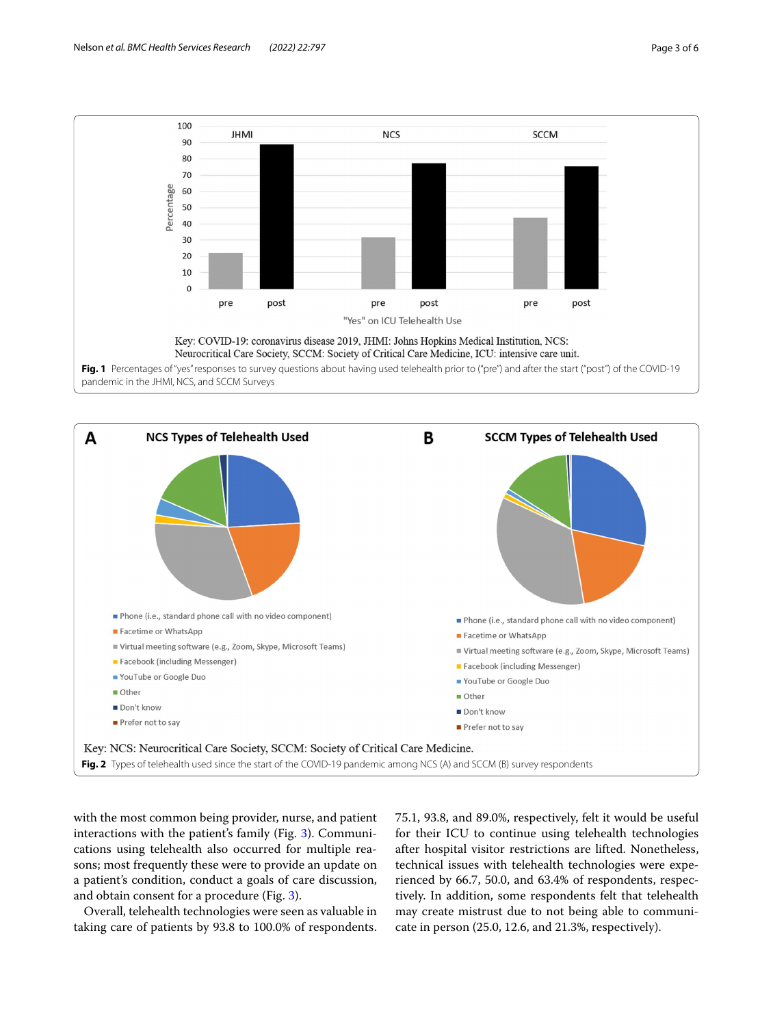

<span id="page-2-0"></span>

<span id="page-2-1"></span>with the most common being provider, nurse, and patient interactions with the patient's family (Fig. [3\)](#page-3-0). Communications using telehealth also occurred for multiple reasons; most frequently these were to provide an update on a patient's condition, conduct a goals of care discussion, and obtain consent for a procedure (Fig. [3](#page-3-0)).

Overall, telehealth technologies were seen as valuable in taking care of patients by 93.8 to 100.0% of respondents. 75.1, 93.8, and 89.0%, respectively, felt it would be useful for their ICU to continue using telehealth technologies after hospital visitor restrictions are lifted. Nonetheless, technical issues with telehealth technologies were experienced by 66.7, 50.0, and 63.4% of respondents, respectively. In addition, some respondents felt that telehealth may create mistrust due to not being able to communicate in person (25.0, 12.6, and 21.3%, respectively).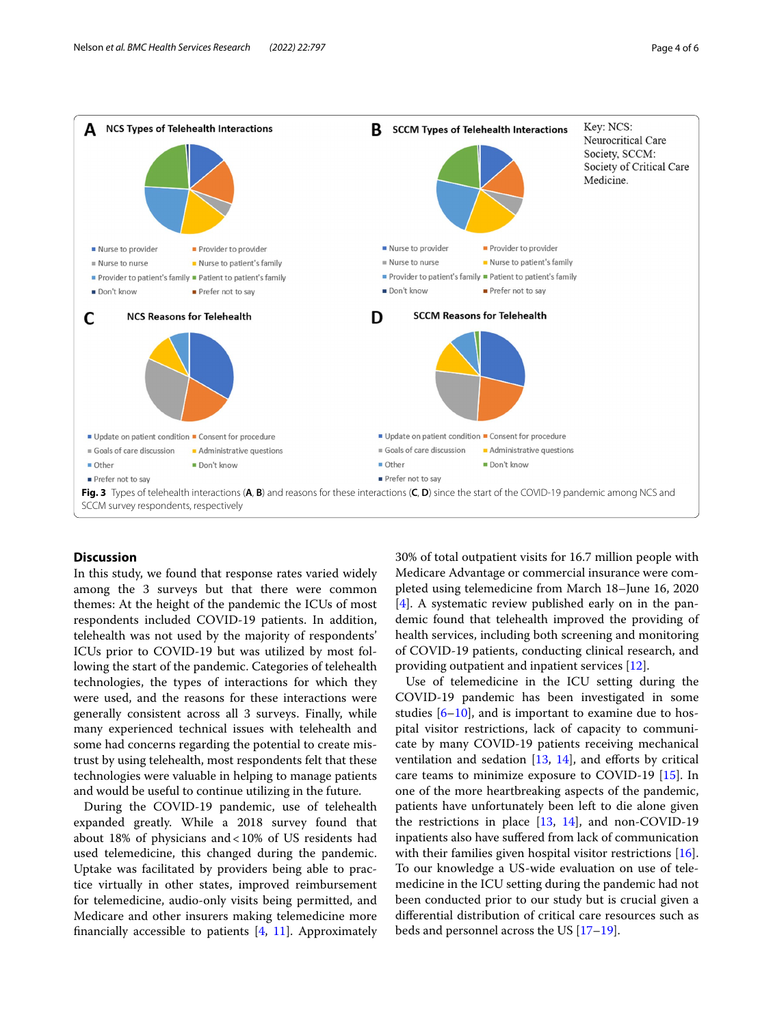

# <span id="page-3-0"></span>**Discussion**

In this study, we found that response rates varied widely among the 3 surveys but that there were common themes: At the height of the pandemic the ICUs of most respondents included COVID-19 patients. In addition, telehealth was not used by the majority of respondents' ICUs prior to COVID-19 but was utilized by most following the start of the pandemic. Categories of telehealth technologies, the types of interactions for which they were used, and the reasons for these interactions were generally consistent across all 3 surveys. Finally, while many experienced technical issues with telehealth and some had concerns regarding the potential to create mistrust by using telehealth, most respondents felt that these technologies were valuable in helping to manage patients and would be useful to continue utilizing in the future.

During the COVID-19 pandemic, use of telehealth expanded greatly. While a 2018 survey found that about 18% of physicians and<10% of US residents had used telemedicine, this changed during the pandemic. Uptake was facilitated by providers being able to practice virtually in other states, improved reimbursement for telemedicine, audio-only visits being permitted, and Medicare and other insurers making telemedicine more fnancially accessible to patients [\[4](#page-5-3), [11](#page-5-7)]. Approximately 30% of total outpatient visits for 16.7 million people with Medicare Advantage or commercial insurance were completed using telemedicine from March 18–June 16, 2020 [[4\]](#page-5-3). A systematic review published early on in the pandemic found that telehealth improved the providing of health services, including both screening and monitoring of COVID-19 patients, conducting clinical research, and providing outpatient and inpatient services [\[12](#page-5-8)].

Use of telemedicine in the ICU setting during the COVID-19 pandemic has been investigated in some studies [[6](#page-5-5)[–10](#page-5-6)], and is important to examine due to hospital visitor restrictions, lack of capacity to communicate by many COVID-19 patients receiving mechanical ventilation and sedation  $[13, 14]$  $[13, 14]$  $[13, 14]$  $[13, 14]$ , and efforts by critical care teams to minimize exposure to COVID-19 [\[15\]](#page-5-11). In one of the more heartbreaking aspects of the pandemic, patients have unfortunately been left to die alone given the restrictions in place  $[13, 14]$  $[13, 14]$  $[13, 14]$  $[13, 14]$ , and non-COVID-19 inpatients also have sufered from lack of communication with their families given hospital visitor restrictions [\[16](#page-5-12)]. To our knowledge a US-wide evaluation on use of telemedicine in the ICU setting during the pandemic had not been conducted prior to our study but is crucial given a diferential distribution of critical care resources such as beds and personnel across the US [\[17–](#page-5-13)[19\]](#page-5-14).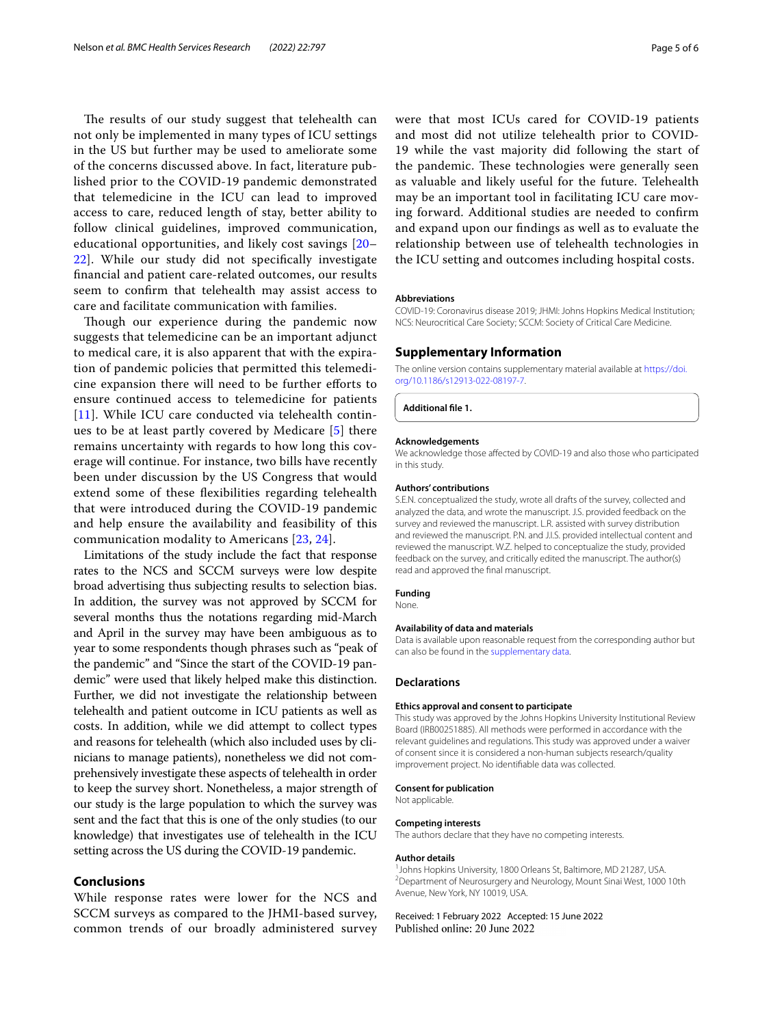The results of our study suggest that telehealth can not only be implemented in many types of ICU settings in the US but further may be used to ameliorate some of the concerns discussed above. In fact, literature published prior to the COVID-19 pandemic demonstrated that telemedicine in the ICU can lead to improved access to care, reduced length of stay, better ability to follow clinical guidelines, improved communication, educational opportunities, and likely cost savings [\[20–](#page-5-15) [22\]](#page-5-16). While our study did not specifcally investigate fnancial and patient care-related outcomes, our results seem to confrm that telehealth may assist access to care and facilitate communication with families.

Though our experience during the pandemic now suggests that telemedicine can be an important adjunct to medical care, it is also apparent that with the expiration of pandemic policies that permitted this telemedicine expansion there will need to be further eforts to ensure continued access to telemedicine for patients [[11](#page-5-7)]. While ICU care conducted via telehealth continues to be at least partly covered by Medicare [\[5](#page-5-4)] there remains uncertainty with regards to how long this coverage will continue. For instance, two bills have recently been under discussion by the US Congress that would extend some of these fexibilities regarding telehealth that were introduced during the COVID-19 pandemic and help ensure the availability and feasibility of this communication modality to Americans [[23](#page-5-17), [24](#page-5-18)].

Limitations of the study include the fact that response rates to the NCS and SCCM surveys were low despite broad advertising thus subjecting results to selection bias. In addition, the survey was not approved by SCCM for several months thus the notations regarding mid-March and April in the survey may have been ambiguous as to year to some respondents though phrases such as "peak of the pandemic" and "Since the start of the COVID-19 pandemic" were used that likely helped make this distinction. Further, we did not investigate the relationship between telehealth and patient outcome in ICU patients as well as costs. In addition, while we did attempt to collect types and reasons for telehealth (which also included uses by clinicians to manage patients), nonetheless we did not comprehensively investigate these aspects of telehealth in order to keep the survey short. Nonetheless, a major strength of our study is the large population to which the survey was sent and the fact that this is one of the only studies (to our knowledge) that investigates use of telehealth in the ICU setting across the US during the COVID-19 pandemic.

## **Conclusions**

While response rates were lower for the NCS and SCCM surveys as compared to the JHMI-based survey, common trends of our broadly administered survey were that most ICUs cared for COVID-19 patients and most did not utilize telehealth prior to COVID-19 while the vast majority did following the start of the pandemic. These technologies were generally seen as valuable and likely useful for the future. Telehealth may be an important tool in facilitating ICU care moving forward. Additional studies are needed to confrm and expand upon our fndings as well as to evaluate the relationship between use of telehealth technologies in the ICU setting and outcomes including hospital costs.

#### **Abbreviations**

COVID-19: Coronavirus disease 2019; JHMI: Johns Hopkins Medical Institution; NCS: Neurocritical Care Society; SCCM: Society of Critical Care Medicine.

# **Supplementary Information**

The online version contains supplementary material available at [https://doi.](https://doi.org/10.1186/s12913-022-08197-7) [org/10.1186/s12913-022-08197-7](https://doi.org/10.1186/s12913-022-08197-7).

<span id="page-4-0"></span>**Additional fle 1.**

#### **Acknowledgements**

We acknowledge those afected by COVID-19 and also those who participated in this study.

#### **Authors' contributions**

S.E.N. conceptualized the study, wrote all drafts of the survey, collected and analyzed the data, and wrote the manuscript. J.S. provided feedback on the survey and reviewed the manuscript. L.R. assisted with survey distribution and reviewed the manuscript. P.N. and J.I.S. provided intellectual content and reviewed the manuscript. W.Z. helped to conceptualize the study, provided feedback on the survey, and critically edited the manuscript. The author(s) read and approved the fnal manuscript.

#### **Funding**

None.

#### **Availability of data and materials**

Data is available upon reasonable request from the corresponding author but can also be found in the [supplementary data.](#page-4-0)

#### **Declarations**

## **Ethics approval and consent to participate**

This study was approved by the Johns Hopkins University Institutional Review Board (IRB00251885). All methods were performed in accordance with the relevant guidelines and regulations. This study was approved under a waiver of consent since it is considered a non-human subjects research/quality improvement project. No identifable data was collected.

#### **Consent for publication**

Not applicable.

#### **Competing interests**

The authors declare that they have no competing interests.

#### **Author details**

<sup>1</sup> Johns Hopkins University, 1800 Orleans St, Baltimore, MD 21287, USA. 2 Department of Neurosurgery and Neurology, Mount Sinai West, 1000 10th Avenue, New York, NY 10019, USA.

Received: 1 February 2022 Accepted: 15 June 2022Published online: 20 June 2022